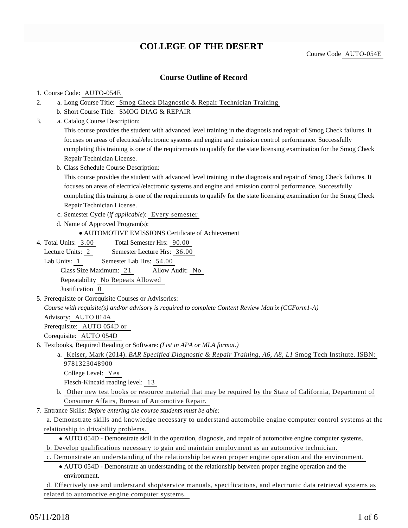# **COLLEGE OF THE DESERT**

### **Course Outline of Record**

#### 1. Course Code: AUTO-054E

- a. Long Course Title: Smog Check Diagnostic & Repair Technician Training 2.
	- b. Short Course Title: SMOG DIAG & REPAIR
- Catalog Course Description: a. 3.

This course provides the student with advanced level training in the diagnosis and repair of Smog Check failures. It focuses on areas of electrical/electronic systems and engine and emission control performance. Successfully completing this training is one of the requirements to qualify for the state licensing examination for the Smog Check Repair Technician License.

b. Class Schedule Course Description:

This course provides the student with advanced level training in the diagnosis and repair of Smog Check failures. It focuses on areas of electrical/electronic systems and engine and emission control performance. Successfully completing this training is one of the requirements to qualify for the state licensing examination for the Smog Check Repair Technician License.

- c. Semester Cycle (*if applicable*): Every semester
- d. Name of Approved Program(s):
	- AUTOMOTIVE EMISSIONS Certificate of Achievement
- Total Semester Hrs: 90.00 4. Total Units: 3.00

Lecture Units: 2 Semester Lecture Hrs: 36.00 Lab Units: 1 Semester Lab Hrs: 54.00 Class Size Maximum: 21 Allow Audit: No

Repeatability No Repeats Allowed

Justification 0

5. Prerequisite or Corequisite Courses or Advisories:

*Course with requisite(s) and/or advisory is required to complete Content Review Matrix (CCForm1-A)*

Advisory: AUTO 014A Prerequisite: AUTO 054D or

Corequisite: AUTO 054D

- 6. Textbooks, Required Reading or Software: (List in APA or MLA format.)
	- a. Keiser, Mark (2014). *BAR Specified Diagnostic & Repair Training, A6, A8, L1* Smog Tech Institute. ISBN: 9781323048900
		- College Level: Yes

Flesch-Kincaid reading level: 13

- b. Other new test books or resource material that may be required by the State of California, Department of Consumer Affairs, Bureau of Automotive Repair.
- Entrance Skills: *Before entering the course students must be able:* 7.
	- a. Demonstrate skills and knowledge necessary to understand automobile engine computer control systems at the relationship to drivability problems.
		- AUTO 054D Demonstrate skill in the operation, diagnosis, and repair of automotive engine computer systems.
	- b. Develop qualifications necessary to gain and maintain employment as an automotive technician.
	- c. Demonstrate an understanding of the relationship between proper engine operation and the environment.
		- AUTO 054D Demonstrate an understanding of the relationship between proper engine operation and the environment.

d. Effectively use and understand shop/service manuals, specifications, and electronic data retrieval systems as related to automotive engine computer systems.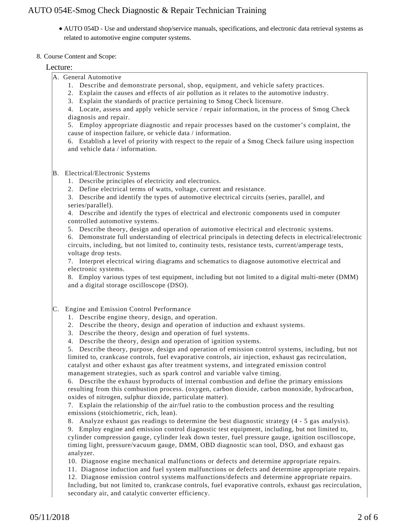AUTO 054D - Use and understand shop/service manuals, specifications, and electronic data retrieval systems as related to automotive engine computer systems.

#### 8. Course Content and Scope:

#### Lecture:

- A. General Automotive
	- 1. Describe and demonstrate personal, shop, equipment, and vehicle safety practices.
	- 2. Explain the causes and effects of air pollution as it relates to the automotive industry.
	- 3. Explain the standards of practice pertaining to Smog Check licensure.

4. Locate, assess and apply vehicle service / repair information, in the process of Smog Check diagnosis and repair.

5. Employ appropriate diagnostic and repair processes based on the customer's complaint, the cause of inspection failure, or vehicle data / information.

6. Establish a level of priority with respect to the repair of a Smog Check failure using inspection and vehicle data / information.

#### B. Electrical/Electronic Systems

- 1. Describe principles of electricity and electronics.
- 2. Define electrical terms of watts, voltage, current and resistance.

3. Describe and identify the types of automotive electrical circuits (series, parallel, and series/parallel).

4. Describe and identify the types of electrical and electronic components used in computer controlled automotive systems.

5. Describe theory, design and operation of automotive electrical and electronic systems.

6. Demonstrate full understanding of electrical principals in detecting defects in electrical/electronic circuits, including, but not limited to, continuity tests, resistance tests, current/amperage tests, voltage drop tests.

7. Interpret electrical wiring diagrams and schematics to diagnose automotive electrical and electronic systems.

8. Employ various types of test equipment, including but not limited to a digital multi-meter (DMM) and a digital storage oscilloscope (DSO).

- C. Engine and Emission Control Performance
	- 1. Describe engine theory, design, and operation.
	- 2. Describe the theory, design and operation of induction and exhaust systems.
	- 3. Describe the theory, design and operation of fuel systems.
	- 4. Describe the theory, design and operation of ignition systems.

5. Describe theory, purpose, design and operation of emission control systems, including, but not limited to, crankcase controls, fuel evaporative controls, air injection, exhaust gas recirculation, catalyst and other exhaust gas after treatment systems, and integrated emission control management strategies, such as spark control and variable valve timing.

6. Describe the exhaust byproducts of internal combustion and define the primary emissions resulting from this combustion process. (oxygen, carbon dioxide, carbon monoxide, hydrocarbon, oxides of nitrogen, sulphur dioxide, particulate matter).

7. Explain the relationship of the air/fuel ratio to the combustion process and the resulting emissions (stoichiometric, rich, lean).

8. Analyze exhaust gas readings to determine the best diagnostic strategy (4 - 5 gas analysis).

9. Employ engine and emission control diagnostic test equipment, including, but not limited to, cylinder compression gauge, cylinder leak down tester, fuel pressure gauge, ignition oscilloscope, timing light, pressure/vacuum gauge, DMM, OBD diagnostic scan tool, DSO, and exhaust gas analyzer.

- 10. Diagnose engine mechanical malfunctions or defects and determine appropriate repairs.
- 11. Diagnose induction and fuel system malfunctions or defects and determine appropriate repairs.

12. Diagnose emission control systems malfunctions/defects and determine appropriate repairs. Including, but not limited to, crankcase controls, fuel evaporative controls, exhaust gas recirculation, secondary air, and catalytic converter efficiency.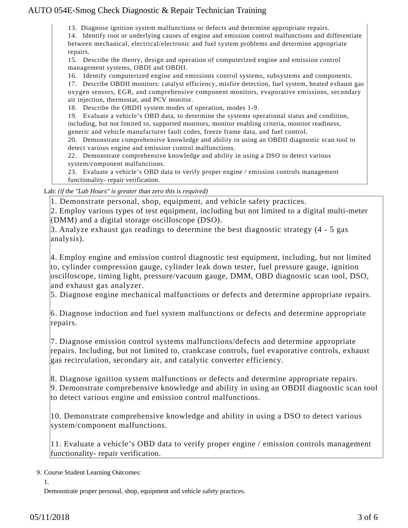13. Diagnose ignition system malfunctions or defects and determine appropriate repairs.

14. Identify root or underlying causes of engine and emission control malfunctions and differentiate between mechanical, electrical/electronic and fuel system problems and determine appropriate repairs.

15. Describe the theory, design and operation of computerized engine and emission control management systems, OBDI and OBDII.

16. Identify computerized engine and emissions control systems, subsystems and components.

17. Describe OBDII monitors: catalyst efficiency, misfire detection, fuel system, heated exhaust gas oxygen sensors, EGR, and comprehensive component monitors, evaporative emissions, secondary air injection, thermostat, and PCV monitor.

18. Describe the OBDII system modes of operation, modes 1-9.

19. Evaluate a vehicle's OBD data, to determine the systems operational status and condition, including, but not limited to, supported monitors, monitor enabling criteria, monitor readiness, generic and vehicle manufacturer fault codes, freeze frame data, and fuel control.

20. Demonstrate comprehensive knowledge and ability in using an OBDII diagnostic scan tool to detect various engine and emission control malfunctions.

22. Demonstrate comprehensive knowledge and ability in using a DSO to detect various system/component malfunctions.

23. Evaluate a vehicle's OBD data to verify proper engine / emission controls management functionality- repair verification.

Lab: *(if the "Lab Hours" is greater than zero this is required)*

1. Demonstrate personal, shop, equipment, and vehicle safety practices.

2. Employ various types of test equipment, including but not limited to a digital multi-meter (DMM) and a digital storage oscilloscope (DSO).

3. Analyze exhaust gas readings to determine the best diagnostic strategy (4 - 5 gas analysis).

4. Employ engine and emission control diagnostic test equipment, including, but not limited to, cylinder compression gauge, cylinder leak down tester, fuel pressure gauge, ignition oscilloscope, timing light, pressure/vacuum gauge, DMM, OBD diagnostic scan tool, DSO, and exhaust gas analyzer.

5. Diagnose engine mechanical malfunctions or defects and determine appropriate repairs.

6. Diagnose induction and fuel system malfunctions or defects and determine appropriate repairs.

7. Diagnose emission control systems malfunctions/defects and determine appropriate repairs. Including, but not limited to, crankcase controls, fuel evaporative controls, exhaust gas recirculation, secondary air, and catalytic converter efficiency.

8. Diagnose ignition system malfunctions or defects and determine appropriate repairs.

9. Demonstrate comprehensive knowledge and ability in using an OBDII diagnostic scan tool to detect various engine and emission control malfunctions.

10. Demonstrate comprehensive knowledge and ability in using a DSO to detect various system/component malfunctions.

11. Evaluate a vehicle's OBD data to verify proper engine / emission controls management functionality- repair verification.

9. Course Student Learning Outcomes:

1.

Demonstrate proper personal, shop, equipment and vehicle safety practices.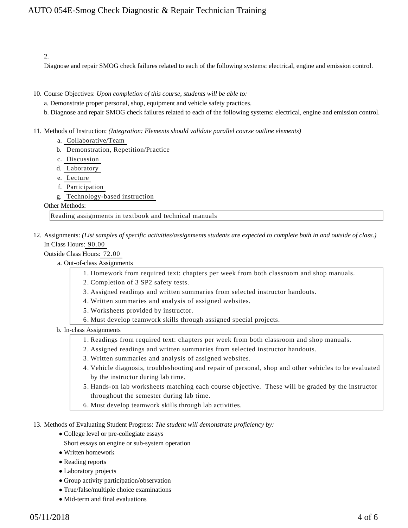#### 2.

Diagnose and repair SMOG check failures related to each of the following systems: electrical, engine and emission control.

- 10. Course Objectives: Upon completion of this course, students will be able to:
	- a. Demonstrate proper personal, shop, equipment and vehicle safety practices.
	- b. Diagnose and repair SMOG check failures related to each of the following systems: electrical, engine and emission control.
- 11. Methods of Instruction: *(Integration: Elements should validate parallel course outline elements)* 
	- a. Collaborative/Team
	- b. Demonstration, Repetition/Practice
	- c. Discussion
	- d. Laboratory
	- e. Lecture
	- f. Participation
	- g. Technology-based instruction

#### Other Methods:

Reading assignments in textbook and technical manuals

12. Assignments: (List samples of specific activities/assignments students are expected to complete both in and outside of class.) In Class Hours: 90.00

#### Outside Class Hours: 72.00

a. Out-of-class Assignments

- 1. Homework from required text: chapters per week from both classroom and shop manuals.
- 2. Completion of 3 SP2 safety tests.
- 3. Assigned readings and written summaries from selected instructor handouts.
- 4. Written summaries and analysis of assigned websites.
- 5. Worksheets provided by instructor.
- 6. Must develop teamwork skills through assigned special projects.

#### b. In-class Assignments

- 1. Readings from required text: chapters per week from both classroom and shop manuals.
- 2. Assigned readings and written summaries from selected instructor handouts.
- 3. Written summaries and analysis of assigned websites.
- Vehicle diagnosis, troubleshooting and repair of personal, shop and other vehicles to be evaluated 4. by the instructor during lab time.
- 5. Hands-on lab worksheets matching each course objective. These will be graded by the instructor throughout the semester during lab time.
- 6. Must develop teamwork skills through lab activities.

13. Methods of Evaluating Student Progress: The student will demonstrate proficiency by:

- College level or pre-collegiate essays
	- Short essays on engine or sub-system operation
- Written homework
- Reading reports
- Laboratory projects
- Group activity participation/observation
- True/false/multiple choice examinations
- Mid-term and final evaluations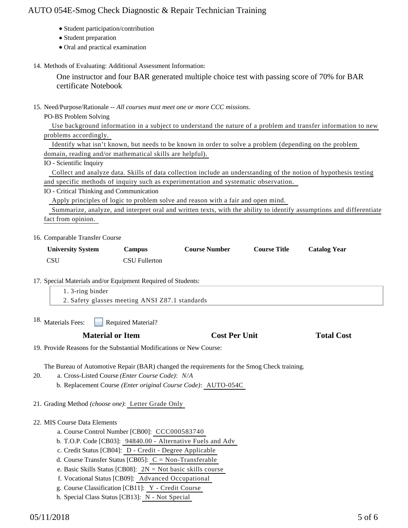- Student participation/contribution
- Student preparation
- Oral and practical examination
- 14. Methods of Evaluating: Additional Assessment Information:

One instructor and four BAR generated multiple choice test with passing score of 70% for BAR certificate Notebook

15. Need/Purpose/Rationale -- All courses must meet one or more CCC missions.

PO-BS Problem Solving

 Use background information in a subject to understand the nature of a problem and transfer information to new problems accordingly.

| Identify what isn't known, but needs to be known in order to solve a problem (depending on the problem |  |  |  |
|--------------------------------------------------------------------------------------------------------|--|--|--|
| domain, reading and/or mathematical skills are helpful).                                               |  |  |  |

#### IO - Scientific Inquiry

 Collect and analyze data. Skills of data collection include an understanding of the notion of hypothesis testing and specific methods of inquiry such as experimentation and systematic observation.

IO - Critical Thinking and Communication

Apply principles of logic to problem solve and reason with a fair and open mind.

 Summarize, analyze, and interpret oral and written texts, with the ability to identify assumptions and differentiate fact from opinion.

#### 16. Comparable Transfer Course

| <b>University System</b> | Campus        | <b>Course Number</b> | <b>Course Title</b> | <b>Catalog Year</b> |
|--------------------------|---------------|----------------------|---------------------|---------------------|
| <b>CSU</b>               | CSU Fullerton |                      |                     |                     |

17. Special Materials and/or Equipment Required of Students:

| 1.3-ring binder                                |  |
|------------------------------------------------|--|
| 2. Safety glasses meeting ANSI Z87.1 standards |  |
|                                                |  |

Required Material? 18. Materials Fees:

| <b>Material or Item</b> | <b>Cost Per Unit</b> | <b>Total Cost</b> |
|-------------------------|----------------------|-------------------|
|-------------------------|----------------------|-------------------|

19. Provide Reasons for the Substantial Modifications or New Course:

The Bureau of Automotive Repair (BAR) changed the requirements for the Smog Check training.

- a. Cross-Listed Course *(Enter Course Code)*: *N/A* 20.
	- b. Replacement Course *(Enter original Course Code)*: AUTO-054C
- 21. Grading Method *(choose one)*: Letter Grade Only

### 22. MIS Course Data Elements

- a. Course Control Number [CB00]: CCC000583740
- b. T.O.P. Code [CB03]: 94840.00 Alternative Fuels and Adv
- c. Credit Status [CB04]: D Credit Degree Applicable
- d. Course Transfer Status [CB05]: C = Non-Transferable
- e. Basic Skills Status [CB08]: 2N = Not basic skills course
- f. Vocational Status [CB09]: Advanced Occupational
- g. Course Classification [CB11]: Y Credit Course
- h. Special Class Status [CB13]: N Not Special